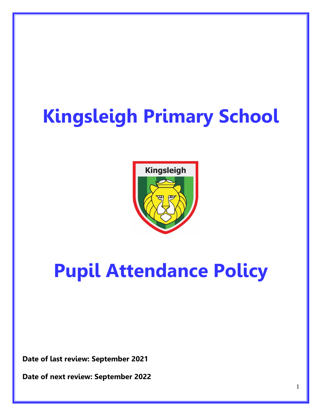# **Kingsleigh Primary School**



## **Pupil Attendance Policy**

**Date of last review: September 2021**

**Date of next review: September 2022**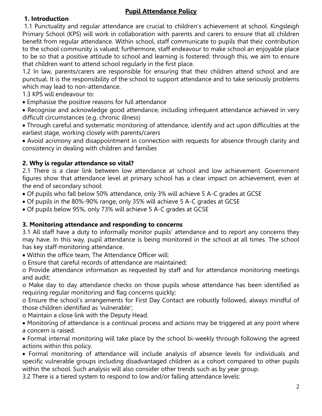#### **Pupil Attendance Policy**

#### **1. Introduction**

1.1 Punctuality and regular attendance are crucial to children's achievement at school. Kingsleigh Primary School (KPS) will work in collaboration with parents and carers to ensure that all children benefit from regular attendance. Within school, staff communicate to pupils that their contribution to the school community is valued; furthermore, staff endeavour to make school an enjoyable place to be so that a positive attitude to school and learning is fostered: through this, we aim to ensure that children want to attend school regularly in the first place.

1.2 In law, parents/carers are responsible for ensuring that their children attend school and are punctual. It is the responsibility of the school to support attendance and to take seriously problems which may lead to non-attendance.

- 1.3 KPS will endeavour to:
- Emphasise the positive reasons for full attendance
- Recognise and acknowledge good attendance, including infrequent attendance achieved in very difficult circumstances (e.g. chronic illness)
- Through careful and systematic monitoring of attendance, identify and act upon difficulties at the earliest stage, working closely with parents/carers
- Avoid acrimony and disappointment in connection with requests for absence through clarity and consistency in dealing with children and families

#### **2. Why is regular attendance so vital?**

2.1 There is a clear link between low attendance at school and low achievement. Government figures show that attendance level at primary school has a clear impact on achievement, even at the end of secondary school:

- Of pupils who fall below 50% attendance, only 3% will achieve 5 A-C grades at GCSE
- Of pupils in the 80%-90% range, only 35% will achieve 5 A-C grades at GCSE
- Of pupils below 95%, only 73% will achieve 5 A-C grades at GCSE

#### **3. Monitoring attendance and responding to concerns**

3.1 All staff have a duty to informally monitor pupils' attendance and to report any concerns they may have. In this way, pupil attendance is being monitored in the school at all times. The school has key staff monitoring attendance.

- Within the office team, The Attendance Officer will:
- o Ensure that careful records of attendance are maintained;

o Provide attendance information as requested by staff and for attendance monitoring meetings and audit;

o Make day to day attendance checks on those pupils whose attendance has been identified as requiring regular monitoring and flag concerns quickly;

o Ensure the school's arrangements for First Day Contact are robustly followed, always mindful of those children identified as 'vulnerable';

o Maintain a close link with the Deputy Head.

 Monitoring of attendance is a continual process and actions may be triggered at any point where a concern is raised.

 Formal internal monitoring will take place by the school bi-weekly through following the agreed actions within this policy.

 Formal monitoring of attendance will include analysis of absence levels for individuals and specific vulnerable groups including disadvantaged children as a cohort compared to other pupils within the school. Such analysis will also consider other trends such as by year group.

3.2 There is a tiered system to respond to low and/or falling attendance levels: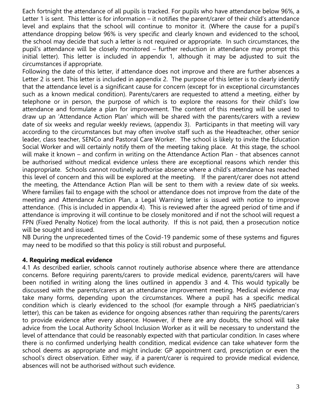Each fortnight the attendance of all pupils is tracked. For pupils who have attendance below 96%, a Letter 1 is sent. This letter is for information – it notifies the parent/carer of their child's attendance level and explains that the school will continue to monitor it. (Where the cause for a pupil's attendance dropping below 96% is very specific and clearly known and evidenced to the school, the school may decide that such a letter is not required or appropriate. In such circumstances, the pupil's attendance will be closely monitored – further reduction in attendance may prompt this initial letter). This letter is included in appendix 1, although it may be adjusted to suit the circumstances if appropriate.

Following the date of this letter, if attendance does not improve and there are further absences a Letter 2 is sent. This letter is included in appendix 2. The purpose of this letter is to clearly identify that the attendance level is a significant cause for concern (except for in exceptional circumstances such as a known medical condition). Parents/carers are requested to attend a meeting, either by telephone or in person, the purpose of which is to explore the reasons for their child's low attendance and formulate a plan for improvement. The content of this meeting will be used to draw up an 'Attendance Action Plan' which will be shared with the parents/carers with a review date of six weeks and regular weekly reviews, (appendix 3). Participants in that meeting will vary according to the circumstances but may often involve staff such as the Headteacher, other senior leader, class teacher, SENCo and Pastoral Care Worker. The school is likely to invite the Education Social Worker and will certainly notify them of the meeting taking place. At this stage, the school will make it known – and confirm in writing on the Attendance Action Plan - that absences cannot be authorised without medical evidence unless there are exceptional reasons which render this inappropriate. Schools cannot routinely authorise absence where a child's attendance has reached this level of concern and this will be explored at the meeting. If the parent/carer does not attend the meeting, the Attendance Action Plan will be sent to them with a review date of six weeks. Where families fail to engage with the school or attendance does not improve from the date of the meeting and Attendance Action Plan, a Legal Warning letter is issued with notice to improve attendance. (This is included in appendix 4). This is reviewed after the agreed period of time and if attendance is improving it will continue to be closely monitored and if not the school will request a FPN (Fixed Penalty Notice) from the local authority. If this is not paid, then a prosecution notice will be sought and issued.

NB During the unprecedented times of the Covid-19 pandemic some of these systems and figures may need to be modified so that this policy is still robust and purposeful.

#### **4. Requiring medical evidence**

4.1 As described earlier, schools cannot routinely authorise absence where there are attendance concerns. Before requiring parents/carers to provide medical evidence, parents/carers will have been notified in writing along the lines outlined in appendix 3 and 4. This would typically be discussed with the parents/carers at an attendance improvement meeting. Medical evidence may take many forms, depending upon the circumstances. Where a pupil has a specific medical condition which is clearly evidenced to the school (for example through a NHS paediatrician's letter), this can be taken as evidence for ongoing absences rather than requiring the parents/carers to provide evidence after every absence. However, if there are any doubts, the school will take advice from the Local Authority School Inclusion Worker as it will be necessary to understand the level of attendance that could be reasonably expected with that particular condition. In cases where there is no confirmed underlying health condition, medical evidence can take whatever form the school deems as appropriate and might include: GP appointment card, prescription or even the school's direct observation. Either way, if a parent/carer is required to provide medical evidence, absences will not be authorised without such evidence.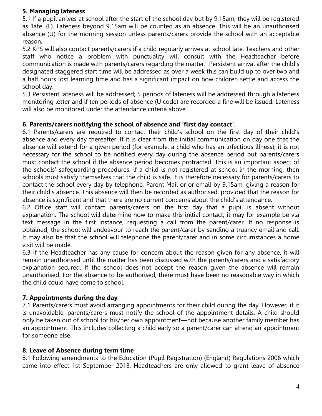#### **5. Managing lateness**

5.1 If a pupil arrives at school after the start of the school day but by 9.15am, they will be registered as 'late' (L). Lateness beyond 9.15am will be counted as an absence. This will be an unauthorised absence (U) for the morning session unless parents/carers provide the school with an acceptable reason.

5.2 KPS will also contact parents/carers if a child regularly arrives at school late. Teachers and other staff who notice a problem with punctuality will consult with the Headteacher before communication is made with parents/carers regarding the matter. Persistent arrival after the child's designated staggered start time will be addressed as over a week this can build up to over two and a half hours lost learning time and has a significant impact on how children settle and access the school day.

5.3 Persistent lateness will be addressed; 5 periods of lateness will be addressed through a lateness monitoring letter and if ten periods of absence (U code) are recorded a fine will be issued. Lateness will also be monitored under the attendance criteria above.

#### **6. Parents/carers notifying the school of absence and 'first day contact'.**

6.1 Parents/carers are required to contact their child's school on the first day of their child's absence and every day thereafter. If it is clear from the initial communication on day one that the absence will extend for a given period (for example, a child who has an infectious illness), it is not necessary for the school to be notified every day during the absence period but parents/carers must contact the school if the absence period becomes protracted. This is an important aspect of the schools' safeguarding procedures: if a child is not registered at school in the morning, then schools must satisfy themselves that the child is safe. It is therefore necessary for parents/carers to contact the school every day by telephone, Parent Mail or or email by 9.15am, giving a reason for their child's absence. This absence will then be recorded as authorised, provided that the reason for absence is significant and that there are no current concerns about the child's attendance.

6.2 Office staff will contact parents/carers on the first day that a pupil is absent without explanation. The school will determine how to make this initial contact; it may for example be via text message in the first instance, requesting a call from the parent/carer. If no response is obtained, the school will endeavour to reach the parent/carer by sending a truancy email and call. It may also be that the school will telephone the parent/carer and in some circumstances a home visit will be made.

6.3 If the Headteacher has any cause for concern about the reason given for any absence, it will remain unauthorised until the matter has been discussed with the parents/carers and a satisfactory explanation secured. If the school does not accept the reason given the absence will remain unauthorised. For the absence to be authorised, there must have been no reasonable way in which the child could have come to school.

#### **7. Appointments during the day**

7.1 Parents/carers must avoid arranging appointments for their child during the day. However, if it is unavoidable, parents/carers must notify the school of the appointment details. A child should only be taken out of school for his/her own appointment—not because another family member has an appointment. This includes collecting a child early so a parent/carer can attend an appointment for someone else.

#### **8. Leave of Absence during term time**

8.1 Following amendments to the Education (Pupil Registration) (England) Regulations 2006 which came into effect 1st September 2013, Headteachers are only allowed to grant leave of absence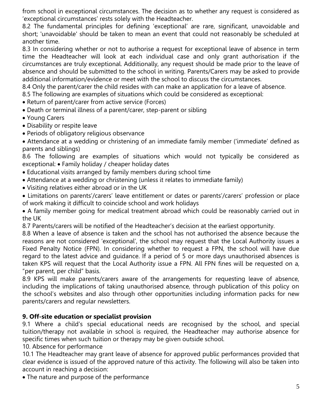from school in exceptional circumstances. The decision as to whether any request is considered as 'exceptional circumstances' rests solely with the Headteacher.

8.2 The fundamental principles for defining 'exceptional' are rare, significant, unavoidable and short; 'unavoidable' should be taken to mean an event that could not reasonably be scheduled at another time.

8.3 In considering whether or not to authorise a request for exceptional leave of absence in term time the Headteacher will look at each individual case and only grant authorisation if the circumstances are truly exceptional. Additionally, any request should be made prior to the leave of absence and should be submitted to the school in writing. Parents/Carers may be asked to provide additional information/evidence or meet with the school to discuss the circumstances.

8.4 Only the parent/carer the child resides with can make an application for a leave of absence.

8.5 The following are examples of situations which could be considered as exceptional:

- Return of parent/carer from active service (Forces)
- Death or terminal illness of a parent/carer, step-parent or sibling
- Young Carers
- Disability or respite leave
- Periods of obligatory religious observance

 Attendance at a wedding or christening of an immediate family member ('immediate' defined as parents and siblings)

8.6 The following are examples of situations which would not typically be considered as exceptional: Family holiday / cheaper holiday dates

- Educational visits arranged by family members during school time
- Attendance at a wedding or christening (unless it relates to immediate family)
- Visiting relatives either abroad or in the UK

 Limitations on parents'/carers' leave entitlement or dates or parents'/carers' profession or place of work making it difficult to coincide school and work holidays

 A family member going for medical treatment abroad which could be reasonably carried out in the UK

8.7 Parents/carers will be notified of the Headteacher's decision at the earliest opportunity.

8.8 When a leave of absence is taken and the school has not authorised the absence because the reasons are not considered 'exceptional', the school may request that the Local Authority issues a Fixed Penalty Notice (FPN). In considering whether to request a FPN, the school will have due regard to the latest advice and guidance. If a period of 5 or more days unauthorised absences is taken KPS will request that the Local Authority issue a FPN. All FPN fines will be requested on a, "per parent, per child" basis.

8.9 KPS will make parents/carers aware of the arrangements for requesting leave of absence, including the implications of taking unauthorised absence, through publication of this policy on the school's websites and also through other opportunities including information packs for new parents/carers and regular newsletters.

#### **9. Off-site education or specialist provision**

9.1 Where a child's special educational needs are recognised by the school, and special tuition/therapy not available in school is required, the Headteacher may authorise absence for specific times when such tuition or therapy may be given outside school.

10. Absence for performance

10.1 The Headteacher may grant leave of absence for approved public performances provided that clear evidence is issued of the approved nature of this activity. The following will also be taken into account in reaching a decision:

The nature and purpose of the performance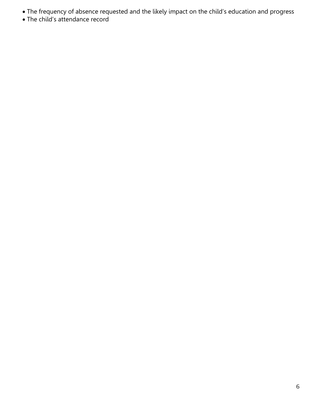- The frequency of absence requested and the likely impact on the child's education and progress
- The child's attendance record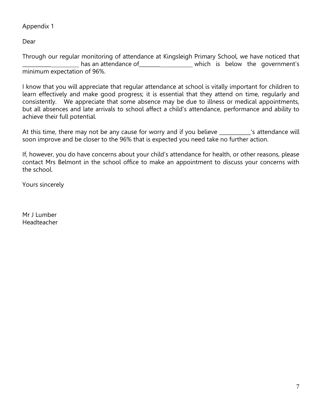#### Appendix 1

Dear

Through our regular monitoring of attendance at Kingsleigh Primary School, we have noticed that has an attendance of \_\_\_\_\_\_\_\_\_\_\_\_\_\_\_\_\_\_\_\_\_\_\_ which is below the government's minimum expectation of 96%.

I know that you will appreciate that regular attendance at school is vitally important for children to learn effectively and make good progress; it is essential that they attend on time, regularly and consistently. We appreciate that some absence may be due to illness or medical appointments, but all absences and late arrivals to school affect a child's attendance, performance and ability to achieve their full potential.

At this time, there may not be any cause for worry and if you believe \_\_\_\_\_\_\_\_\_\_'s attendance will soon improve and be closer to the 96% that is expected you need take no further action.

If, however, you do have concerns about your child's attendance for health, or other reasons, please contact Mrs Belmont in the school office to make an appointment to discuss your concerns with the school.

Yours sincerely

Mr J Lumber Headteacher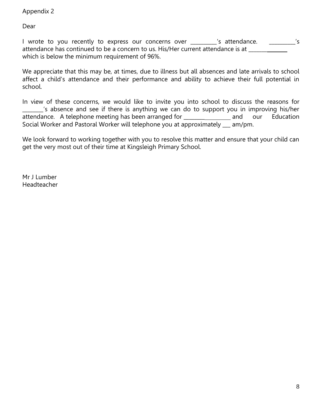#### Appendix 2

Dear

I wrote to you recently to express our concerns over \_\_\_\_\_\_\_\_\_'s attendance. \_\_\_\_\_\_\_\_\_\_'s attendance has continued to be a concern to us. His/Her current attendance is at \_\_\_\_\_\_ which is below the minimum requirement of 96%.

We appreciate that this may be, at times, due to illness but all absences and late arrivals to school affect a child's attendance and their performance and ability to achieve their full potential in school.

In view of these concerns, we would like to invite you into school to discuss the reasons for \_\_\_\_\_\_\_\_'s absence and see if there is anything we can do to support you in improving his/her attendance. A telephone meeting has been arranged for \_\_\_\_\_\_\_\_\_\_\_\_\_\_\_ and our Education Social Worker and Pastoral Worker will telephone you at approximately \_\_ am/pm.

We look forward to working together with you to resolve this matter and ensure that your child can get the very most out of their time at Kingsleigh Primary School.

Mr J Lumber **Headteacher**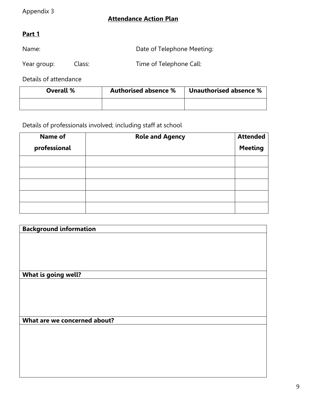### **Attendance Action Plan**

## **Part 1**

Name: Name: Name: Name: Date of Telephone Meeting:

Year group: Class: Time of Telephone Call:

Details of attendance

| Overall % | <b>Authorised absence %</b> | Unauthorised absence % |
|-----------|-----------------------------|------------------------|
|           |                             |                        |

#### Details of professionals involved; including staff at school

| <b>Name of</b> | <b>Role and Agency</b> | <b>Attended</b> |
|----------------|------------------------|-----------------|
| professional   |                        | <b>Meeting</b>  |
|                |                        |                 |
|                |                        |                 |
|                |                        |                 |
|                |                        |                 |

| <b>Background information</b> |  |  |
|-------------------------------|--|--|
|                               |  |  |
|                               |  |  |
|                               |  |  |
|                               |  |  |
|                               |  |  |
| What is going well?           |  |  |
|                               |  |  |
|                               |  |  |
|                               |  |  |
|                               |  |  |
|                               |  |  |
| What are we concerned about?  |  |  |
|                               |  |  |
|                               |  |  |
|                               |  |  |
|                               |  |  |
|                               |  |  |
|                               |  |  |
|                               |  |  |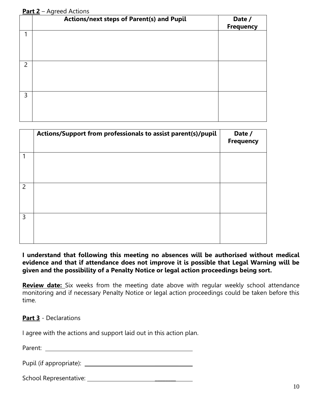#### **Part 2** – Agreed Actions

|                | Actions/next steps of Parent(s) and Pupil | Date /<br><b>Frequency</b> |
|----------------|-------------------------------------------|----------------------------|
| 1              |                                           |                            |
| $\overline{2}$ |                                           |                            |
| 3              |                                           |                            |

|                | Actions/Support from professionals to assist parent(s)/pupil | Date /<br><b>Frequency</b> |
|----------------|--------------------------------------------------------------|----------------------------|
| 1              |                                                              |                            |
| $\overline{2}$ |                                                              |                            |
| 3              |                                                              |                            |

#### **I understand that following this meeting no absences will be authorised without medical evidence and that if attendance does not improve it is possible that Legal Warning will be given and the possibility of a Penalty Notice or legal action proceedings being sort.**

**Review date:** Six weeks from the meeting date above with regular weekly school attendance monitoring and if necessary Penalty Notice or legal action proceedings could be taken before this time.

#### **Part 3** - Declarations

I agree with the actions and support laid out in this action plan.

Parent:

Pupil (if appropriate): \_\_\_\_\_\_\_\_\_

School Representative: \_\_\_\_\_\_\_\_